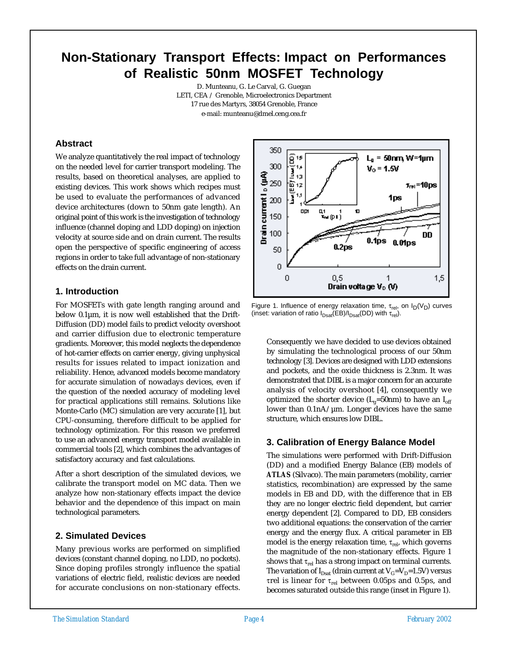# **Non-Stationary Transport Effects: Impact on Performances of Realistic 50nm MOSFET Technology**

D. Munteanu, G. Le Carval, G. Guegan LETI, CEA / Grenoble, Microelectronics Department 17 rue des Martyrs, 38054 Grenoble, France e-mail: munteanu@dmel.ceng.cea.fr

## **Abstract**

We analyze quantitatively the real impact of technology on the needed level for carrier transport modeling. The results, based on theoretical analyses, are applied to existing devices. This work shows which recipes must be used to evaluate the performances of advanced device architectures (down to 50nm gate length). An original point of this work is the investigation of technology influence (channel doping and LDD doping) on injection velocity at source side and on drain current. The results open the perspective of specific engineering of access regions in order to take full advantage of non-stationary effects on the drain current.

## **1. Introduction**

For MOSFETs with gate length ranging around and below 0.1µm, it is now well established that the Drift-Diffusion (DD) model fails to predict velocity overshoot and carrier diffusion due to electronic temperature gradients. Moreover, this model neglects the dependence of hot-carrier effects on carrier energy, giving unphysical results for issues related to impact ionization and reliability. Hence, advanced models become mandatory for accurate simulation of nowadays devices, even if the question of the needed accuracy of modeling level for practical applications still remains. Solutions like Monte-Carlo (MC) simulation are very accurate [1], but CPU-consuming, therefore difficult to be applied for technology optimization. For this reason we preferred to use an advanced energy transport model available in commercial tools [2], which combines the advantages of satisfactory accuracy and fast calculations.

After a short description of the simulated devices, we calibrate the transport model on MC data. Then we analyze how non-stationary effects impact the device behavior and the dependence of this impact on main technological parameters.

## **2. Simulated Devices**

Many previous works are performed on simplified devices (constant channel doping, no LDD, no pockets). Since doping profiles strongly influence the spatial variations of electric field, realistic devices are needed for accurate conclusions on non-stationary effects.



Figure 1. Influence of energy relaxation time,  $\tau_{rel}$ , on  $I_D(V_D)$  curves (inset: variation of ratio  $I_{Dsat}(EB)/I_{Dsat}(DD)$  with  $\tau_{rel}$ ).

Consequently we have decided to use devices obtained by simulating the technological process of our 50nm technology [3]. Devices are designed with LDD extensions and pockets, and the oxide thickness is 2.3nm. It was demonstrated that DIBL is a major concern for an accurate analysis of velocity overshoot [4], consequently we optimized the shorter device  $(L_g=50nm)$  to have an  $I_{off}$ lower than 0.1nA/µm. Longer devices have the same structure, which ensures low DIBL.

## **3. Calibration of Energy Balance Model**

The simulations were performed with Drift-Diffusion (DD) and a modified Energy Balance (EB) models of *ATLAS* (Silvaco). The main parameters (mobility, carrier statistics, recombination) are expressed by the same models in EB and DD, with the difference that in EB they are no longer electric field dependent, but carrier energy dependent [2]. Compared to DD, EB considers two additional equations: the conservation of the carrier energy and the energy flux. A critical parameter in EB model is the energy relaxation time,  $\tau_{\rm rel}$ , which governs the magnitude of the non-stationary effects. Figure 1 shows that  $\tau_{rel}$  has a strong impact on terminal currents. The variation of  $I_{Dsat}$  (drain current at  $V_G=V_D=1.5V$ ) versus τrel is linear for  $τ_{rel}$  between 0.05ps and 0.5ps, and becomes saturated outside this range (inset in Figure 1).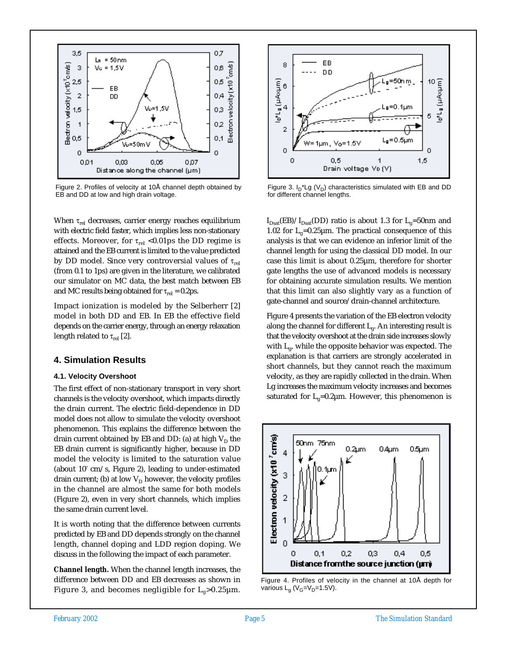

Figure 2. Profiles of velocity at 10Å channel depth obtained by EB and DD at low and high drain voltage.

When  $\tau_{rel}$  decreases, carrier energy reaches equilibrium with electric field faster, which implies less non-stationary effects. Moreover, for  $\tau_{rel}$  <0.01ps the DD regime is attained and the EB current is limited to the value predicted by DD model. Since very controversial values of  $\tau_{rel}$ (from 0.1 to 1ps) are given in the literature, we calibrated our simulator on MC data, the best match between EB and MC results being obtained for  $\tau_{rel} = 0.2 \text{ps}$ .

Impact ionization is modeled by the Selberherr [2] model in both DD and EB. In EB the effective field depends on the carrier energy, through an energy relaxation length related to  $\tau_{rel}$  [2].

## **4. Simulation Results**

#### **4.1. Velocity Overshoot**

The first effect of non-stationary transport in very short channels is the velocity overshoot, which impacts directly the drain current. The electric field-dependence in DD model does not allow to simulate the velocity overshoot phenomenon. This explains the difference between the drain current obtained by EB and DD: (a) at high  $V_D$  the EB drain current is significantly higher, because in DD model the velocity is limited to the saturation value (about  $10^7$  cm/s, Figure 2), leading to under-estimated drain current; (b) at low  $V_D$  however, the velocity profiles in the channel are almost the same for both models (Figure 2), even in very short channels, which implies the same drain current level.

It is worth noting that the difference between currents predicted by EB and DD depends strongly on the channel length, channel doping and LDD region doping. We discuss in the following the impact of each parameter.

**Channel length.** When the channel length increases, the difference between DD and EB decreases as shown in Figure 3, and becomes negligible for  $L_g > 0.25 \mu m$ .



Figure 3.  $I_D$ <sup>\*</sup>Lg ( $V_D$ ) characteristics simulated with EB and DD for different channel lengths.

 $I_{Dsat}(EB)/I_{Dsat}(DD)$  ratio is about 1.3 for  $L_g=50$ nm and 1.02 for  $L<sub>g</sub>=0.25 \mu m$ . The practical consequence of this analysis is that we can evidence an inferior limit of the channel length for using the classical DD model. In our case this limit is about 0.25µm, therefore for shorter gate lengths the use of advanced models is necessary for obtaining accurate simulation results. We mention that this limit can also slightly vary as a function of gate-channel and source/drain-channel architecture.

Figure 4 presents the variation of the EB electron velocity along the channel for different  $L_{g}$ . An interesting result is that the velocity overshoot at the drain side increases slowly with  $L_{\rho}$ , while the opposite behavior was expected. The explanation is that carriers are strongly accelerated in short channels, but they cannot reach the maximum velocity, as they are rapidly collected in the drain. When Lg increases the maximum velocity increases and becomes saturated for  $L_g=0.2\mu$ m. However, this phenomenon is



Figure 4. Profiles of velocity in the channel at 10Å depth for various  $L_g$  (V<sub>G</sub>=V<sub>D</sub>=1.5V).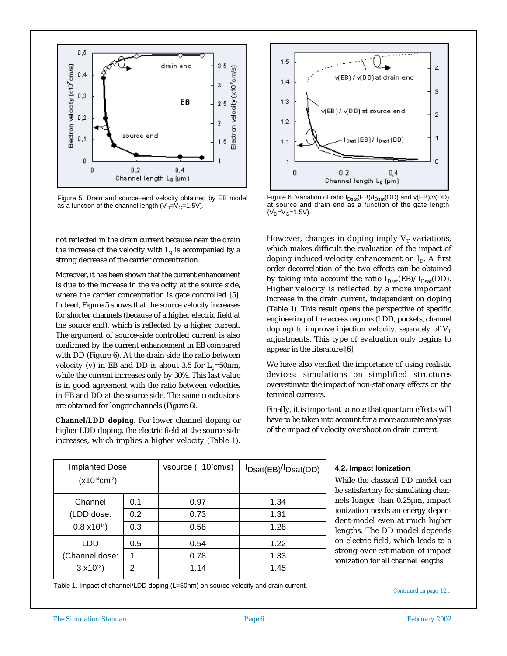

Figure 5. Drain and source–end velocity obtained by EB model as a function of the channel length  $(V_D=V_G=1.5V)$ .

not reflected in the drain current because near the drain the increase of the velocity with  $L_g$  is accompanied by a strong decrease of the carrier concentration.

Moreover, it has been shown that the current enhancement is due to the increase in the velocity at the source side, where the carrier concentration is gate controlled [5]. Indeed, Figure 5 shows that the source velocity increases for shorter channels (because of a higher electric field at the source end), which is reflected by a higher current. The argument of source-side controlled current is also confirmed by the current enhancement in EB compared with DD (Figure 6). At the drain side the ratio between velocity (v) in EB and DD is about 3.5 for  $L_g=50$ nm, while the current increases only by 30%. This last value is in good agreement with the ratio between velocities in EB and DD at the source side. The same conclusions are obtained for longer channels (Figure 6).

**Channel/LDD doping.** For lower channel doping or higher LDD doping, the electric field at the source side increases, which implies a higher velocity (Table 1).



Figure 6. Variation of ratio  $I_{Dsat}(EB)/I_{Dsat}(DD)$  and  $v(EB)/v(DD)$ at source and drain end as a function of the gate length  $(V_D=V_G=1.5V)$ .

However, changes in doping imply  $V_T$  variations, which makes difficult the evaluation of the impact of doping induced-velocity enhancement on  $I<sub>D</sub>$ . A first order decorrelation of the two effects can be obtained by taking into account the ratio  $I_{Dsat}(EB)/I_{Dsat}(DD)$ . Higher velocity is reflected by a more important increase in the drain current, independent on doping (Table 1). This result opens the perspective of specific engineering of the access regions (LDD, pockets, channel doping) to improve injection velocity, *separately* of  $V_T$ adjustments. This type of evaluation only begins to appear in the literature [6].

We have also verified the importance of using realistic devices: simulations on simplified structures overestimate the impact of non-stationary effects on the terminal currents.

Finally, it is important to note that quantum effects will have to be taken into account for a more accurate analysis of the impact of velocity overshoot on drain current.

| <b>Implanted Dose</b><br>$(x10^{14}cm^{-2})$ |                | vsource (_10 <sup>7</sup> cm/s) | <sup>I</sup> Dsat(EB) <sup>/I</sup> Dsat(DD) |
|----------------------------------------------|----------------|---------------------------------|----------------------------------------------|
| Channel                                      | 0.1            | 0.97                            | 1.34                                         |
| (LDD dose:                                   | 0.2            | 0.73                            | 1.31                                         |
| $0.8 \times 10^{14}$                         | 0.3            | 0.58                            | 1.28                                         |
| LDD                                          | 0.5            | 0.54                            | 1.22                                         |
| (Channel dose:                               |                | 0.78                            | 1.33                                         |
| $3 \times 10^{13}$                           | $\mathfrak{p}$ | 1.14                            | 1.45                                         |

### **4.2. Impact Ionization**

While the classical DD model can be satisfactory for simulating channels longer than 0.25µm, impact ionization needs an energy dependent-model even at much higher lengths. The DD model depends on electric field, which leads to a strong over-estimation of impact ionization for all channel lengths.

Table 1. Impact of channel/LDD doping (L=50nm) on source velocity and drain current.<br>
Continued on page 12...